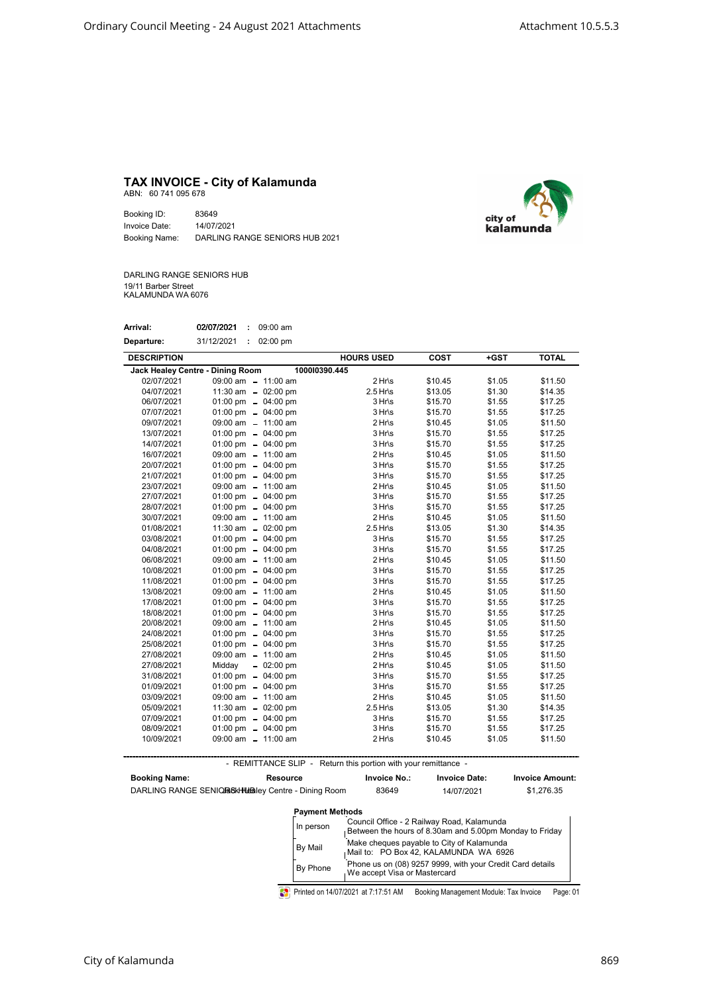## TAX INVOICE - City of Kalamunda ABN: 60 741 095 678

Booking ID: 83649 Invoice Date: 14/07/2021 Booking Name: DARLING RANGE SENIORS HUB 2021



DARLING RANGE SENIORS HUB 19/11 Barber Street KALAMUNDA WA 6076

| Arrival:   | 02/07/2021 | 09:00 am |
|------------|------------|----------|
| Departure: | 31/12/2021 | 02:00 pm |

| <b>DESCRIPTION</b>               |                               | <b>HOURS USED</b> | <b>COST</b> | +GST   | <b>TOTAL</b> |
|----------------------------------|-------------------------------|-------------------|-------------|--------|--------------|
| Jack Healey Centre - Dining Room | 100010390.445                 |                   |             |        |              |
| 02/07/2021                       | 09:00 am - 11:00 am           | $2 Hr\$           | \$10.45     | \$1.05 | \$11.50      |
| 04/07/2021                       | 11:30 am $-$ 02:00 pm         | $2.5$ Hr\s        | \$13.05     | \$1.30 | \$14.35      |
| 06/07/2021                       | 01:00 pm $-$ 04:00 pm         | $3 Hr\$           | \$15.70     | \$1.55 | \$17.25      |
| 07/07/2021                       | 01:00 pm $-$ 04:00 pm         | $3 Hr\$           | \$15.70     | \$1.55 | \$17.25      |
| 09/07/2021                       | 09:00 am - 11:00 am           | $2 Hr\$           | \$10.45     | \$1.05 | \$11.50      |
| 13/07/2021                       | 01:00 pm $-$ 04:00 pm         | $3 Hr\$           | \$15.70     | \$1.55 | \$17.25      |
| 14/07/2021                       | 01:00 pm $-$ 04:00 pm         | $3 Hr\$           | \$15.70     | \$1.55 | \$17.25      |
| 16/07/2021                       | $09:00$ am $-11:00$ am        | $2 Hr\$           | \$10.45     | \$1.05 | \$11.50      |
| 20/07/2021                       | 01:00 pm $-$ 04:00 pm         | 3 Hr\s            | \$15.70     | \$1.55 | \$17.25      |
| 21/07/2021                       | 01:00 pm $-$ 04:00 pm         | $3 Hr\$           | \$15.70     | \$1.55 | \$17.25      |
| 23/07/2021                       | 09:00 am $- 11:00$ am         | $2 Hr\$           | \$10.45     | \$1.05 | \$11.50      |
| 27/07/2021                       | 01:00 pm $-$ 04:00 pm         | $3 Hr\$           | \$15.70     | \$1.55 | \$17.25      |
| 28/07/2021                       | 01:00 pm $-$ 04:00 pm         | $3 Hr\$           | \$15.70     | \$1.55 | \$17.25      |
| 30/07/2021                       | 09:00 am - 11:00 am           | $2 Hr\$           | \$10.45     | \$1.05 | \$11.50      |
| 01/08/2021                       | 11:30 am $-$ 02:00 pm         | $2.5$ Hr\s        | \$13.05     | \$1.30 | \$14.35      |
| 03/08/2021                       | 01:00 pm $-$ 04:00 pm         | 3 Hr\s            | \$15.70     | \$1.55 | \$17.25      |
| 04/08/2021                       | 01:00 pm $-$ 04:00 pm         | 3 Hr\s            | \$15.70     | \$1.55 | \$17.25      |
| 06/08/2021                       | 09:00 am $-11:00$ am          | $2 Hr\$           | \$10.45     | \$1.05 | \$11.50      |
| 10/08/2021                       | 01:00 pm $-$ 04:00 pm         | $3 Hr\$           | \$15.70     | \$1.55 | \$17.25      |
| 11/08/2021                       | 01:00 pm $-$ 04:00 pm         | 3 Hr\s            | \$15.70     | \$1.55 | \$17.25      |
| 13/08/2021                       | 09:00 am $- 11:00$ am         | $2 Hr\$           | \$10.45     | \$1.05 | \$11.50      |
| 17/08/2021                       | 01:00 pm $-$ 04:00 pm         | 3 Hr\s            | \$15.70     | \$1.55 | \$17.25      |
| 18/08/2021                       | 01:00 pm $-$ 04:00 pm         | 3 Hr\s            | \$15.70     | \$1.55 | \$17.25      |
| 20/08/2021                       | 09:00 am $-11:00$ am          | $2 Hr\$           | \$10.45     | \$1.05 | \$11.50      |
| 24/08/2021                       | 01:00 pm $-$ 04:00 pm         | $3 Hr\$           | \$15.70     | \$1.55 | \$17.25      |
| 25/08/2021                       | 01:00 pm $-$ 04:00 pm         | 3 Hr\s            | \$15.70     | \$1.55 | \$17.25      |
| 27/08/2021                       | 09:00 am $- 11:00$ am         | $2 Hr\$           | \$10.45     | \$1.05 | \$11.50      |
| 27/08/2021                       | Midday<br>$-02:00 \text{ pm}$ | $2 Hr\$           | \$10.45     | \$1.05 | \$11.50      |
| 31/08/2021                       | 01:00 pm $-$ 04:00 pm         | 3 Hr\s            | \$15.70     | \$1.55 | \$17.25      |
| 01/09/2021                       | 01:00 pm $-$ 04:00 pm         | 3 Hr\s            | \$15.70     | \$1.55 | \$17.25      |
| 03/09/2021                       | 09:00 am - 11:00 am           | $2 Hr\$           | \$10.45     | \$1.05 | \$11.50      |
| 05/09/2021                       | 11:30 am $-$ 02:00 pm         | $2.5$ Hr\s        | \$13.05     | \$1.30 | \$14.35      |
| 07/09/2021                       | 01:00 pm $-$ 04:00 pm         | $3 Hr\$           | \$15.70     | \$1.55 | \$17.25      |
| 08/09/2021                       | 01:00 pm $-$ 04:00 pm         | $3 Hr\$           | \$15.70     | \$1.55 | \$17.25      |
| 10/09/2021                       | 09:00 am - 11:00 am           | $2 Hr\$           | \$10.45     | \$1.05 | \$11.50      |

- REMITTANCE SLIP - Return this portion with your remittance -

| <b>Booking Name:</b> | <b>Resource</b><br>DARLING RANGE SENIQROKHUBBLEY Centre - Dining Room | <b>Invoice No.:</b><br>83649                                                                          | <b>Invoice Date:</b><br>14/07/2021                        | <b>Invoice Amount:</b><br>\$1,276.35 |  |
|----------------------|-----------------------------------------------------------------------|-------------------------------------------------------------------------------------------------------|-----------------------------------------------------------|--------------------------------------|--|
|                      | <b>Payment Methods</b>                                                |                                                                                                       |                                                           |                                      |  |
|                      | In person                                                             | Council Office - 2 Railway Road, Kalamunda<br>Between the hours of 8.30am and 5.00pm Monday to Friday |                                                           |                                      |  |
|                      | By Mail                                                               | Make cheques payable to City of Kalamunda<br>Mail to: PO Box 42, KALAMUNDA WA 6926                    |                                                           |                                      |  |
|                      | By Phone                                                              | We accept Visa or Mastercard                                                                          | Phone us on (08) 9257 9999, with your Credit Card details |                                      |  |

Printed on 14/07/2021 at 7:17:51 AM Booking Management Module: Tax Invoice Page: 01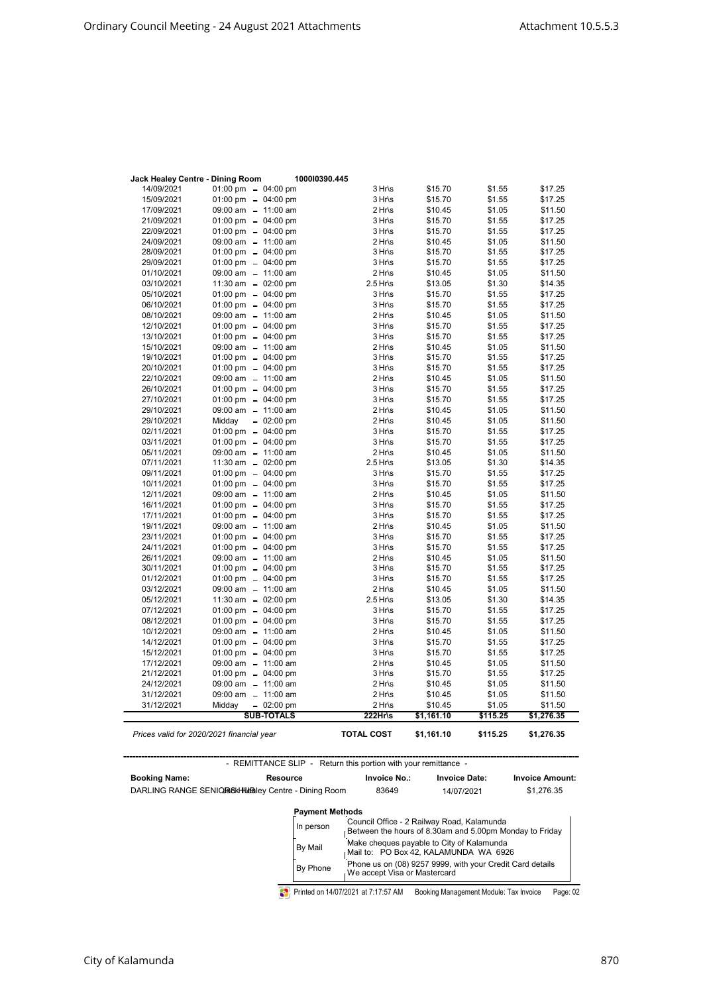| Jack Healey Centre - Dining Room | 100010390.445                                                  |                     |                      |          |                        |
|----------------------------------|----------------------------------------------------------------|---------------------|----------------------|----------|------------------------|
| 14/09/2021                       | 01:00 pm $-$ 04:00 pm                                          | 3 Hr\s              | \$15.70              | \$1.55   | \$17.25                |
| 15/09/2021                       | 01:00 pm $- 04:00$ pm                                          | 3 Hr\s              | \$15.70              | \$1.55   | \$17.25                |
| 17/09/2021                       | 09:00 am - 11:00 am                                            | 2 Hr\s              | \$10.45              | \$1.05   | \$11.50                |
| 21/09/2021                       | 01:00 pm $-$ 04:00 pm                                          | 3 Hr\s              | \$15.70              | \$1.55   | \$17.25                |
| 22/09/2021                       | 01:00 pm $-$ 04:00 pm                                          | 3 Hr\s              | \$15.70              | \$1.55   | \$17.25                |
| 24/09/2021                       | 09:00 am - 11:00 am                                            | 2 Hr\s              | \$10.45              | \$1.05   | \$11.50                |
| 28/09/2021                       | 01:00 pm $-$ 04:00 pm                                          | 3 Hr\s              | \$15.70              | \$1.55   | \$17.25                |
| 29/09/2021                       | 01:00 pm $-$ 04:00 pm                                          | 3 Hr\s              | \$15.70              | \$1.55   | \$17.25                |
| 01/10/2021                       | 09:00 am - 11:00 am                                            | 2 Hr\s              | \$10.45              | \$1.05   | \$11.50                |
| 03/10/2021                       | 11:30 am $-$ 02:00 pm                                          | $2.5$ Hr\s          | \$13.05              | \$1.30   | \$14.35                |
| 05/10/2021                       | 01:00 pm $-$ 04:00 pm                                          | 3 Hr\s              | \$15.70              | \$1.55   | \$17.25                |
| 06/10/2021                       | 01:00 pm $-$ 04:00 pm                                          | 3 Hr\s              | \$15.70              | \$1.55   | \$17.25                |
| 08/10/2021                       | 09:00 am - 11:00 am                                            | 2 Hr\s              | \$10.45              | \$1.05   | \$11.50                |
| 12/10/2021                       | 01:00 pm $-$ 04:00 pm                                          | 3 Hr\s              | \$15.70              | \$1.55   | \$17.25                |
| 13/10/2021                       | 01:00 pm $-$ 04:00 pm                                          | 3 Hr\s              | \$15.70              | \$1.55   | \$17.25                |
| 15/10/2021                       | 09:00 am - 11:00 am                                            | $2 Hr\$             | \$10.45              | \$1.05   | \$11.50                |
| 19/10/2021                       | 01:00 pm $- 04:00$ pm                                          | 3 Hr\s              | \$15.70              | \$1.55   | \$17.25                |
| 20/10/2021                       | 01:00 pm $-$ 04:00 pm                                          | 3 Hr\s              | \$15.70              | \$1.55   | \$17.25                |
| 22/10/2021                       | 09:00 am - 11:00 am                                            | $2 Hr\$             | \$10.45              | \$1.05   | \$11.50                |
| 26/10/2021                       | 01:00 pm $-$ 04:00 pm                                          | $3 Hr\$             | \$15.70              | \$1.55   | \$17.25                |
| 27/10/2021                       | 01:00 pm $-$ 04:00 pm                                          | $3 Hr\$             | \$15.70              | \$1.55   | \$17.25                |
| 29/10/2021                       | 09:00 am - 11:00 am                                            | 2 Hr\s              | \$10.45              | \$1.05   | \$11.50                |
| 29/10/2021                       | Middav<br>$-02:00 \text{ pm}$                                  | $2 Hr\$             | \$10.45              | \$1.05   | \$11.50                |
| 02/11/2021                       | 01:00 pm $-$ 04:00 pm                                          | 3 Hr\s              | \$15.70              | \$1.55   | \$17.25                |
| 03/11/2021                       | 01:00 pm $-$ 04:00 pm                                          | 3 Hr\s              | \$15.70              | \$1.55   | \$17.25                |
| 05/11/2021                       | 09:00 am - 11:00 am                                            | 2 Hr\s              | \$10.45              | \$1.05   | \$11.50                |
| 07/11/2021                       | 11:30 am $-$ 02:00 pm                                          | $2.5$ Hr\s          | \$13.05              | \$1.30   | \$14.35                |
| 09/11/2021                       | 01:00 pm $-$ 04:00 pm                                          | $3 Hr\$             | \$15.70              | \$1.55   | \$17.25                |
| 10/11/2021                       | 01:00 pm $-$ 04:00 pm                                          | $3 Hr\$             | \$15.70              | \$1.55   | \$17.25                |
| 12/11/2021                       | 09:00 am - 11:00 am                                            | $2 Hr\$             | \$10.45              | \$1.05   | \$11.50                |
| 16/11/2021                       | 01:00 pm $-$ 04:00 pm                                          | 3 Hr\s              | \$15.70              | \$1.55   | \$17.25                |
| 17/11/2021                       | 01:00 pm $-$ 04:00 pm                                          | 3 Hr\s              | \$15.70              | \$1.55   | \$17.25                |
| 19/11/2021                       | 09:00 am - 11:00 am                                            | $2 Hr\$             | \$10.45              | \$1.05   | \$11.50                |
| 23/11/2021                       | 01:00 pm $-$ 04:00 pm                                          | $3 Hr\$             | \$15.70              | \$1.55   | \$17.25                |
| 24/11/2021                       | 01:00 pm $-$ 04:00 pm                                          | 3 Hr\s              | \$15.70              | \$1.55   | \$17.25                |
| 26/11/2021                       | 09:00 am - 11:00 am                                            | 2 Hr\s              | \$10.45              | \$1.05   | \$11.50                |
| 30/11/2021                       | 01:00 pm $-$ 04:00 pm                                          | 3 Hr\s              | \$15.70              | \$1.55   | \$17.25                |
| 01/12/2021                       | 01:00 pm $-$ 04:00 pm                                          | $3 Hr\$             | \$15.70              | \$1.55   | \$17.25                |
| 03/12/2021                       | 09:00 am - 11:00 am                                            | 2 Hr\s              | \$10.45              | \$1.05   | \$11.50                |
| 05/12/2021                       | 11:30 am $-$ 02:00 pm                                          | $2.5$ Hr\s          | \$13.05              | \$1.30   | \$14.35                |
| 07/12/2021                       | 01:00 pm $-$ 04:00 pm                                          | 3 Hr\s              | \$15.70              | \$1.55   | \$17.25                |
| 08/12/2021                       | 01:00 pm $-$ 04:00 pm                                          | 3 Hr\s              | \$15.70              | \$1.55   | \$17.25                |
| 10/12/2021                       | 09:00 am - 11:00 am                                            | 2 Hr\s              | \$10.45              | \$1.05   | \$11.50                |
| 14/12/2021                       | 01:00 pm $-$ 04:00 pm                                          | 3 Hr\s              | \$15.70              | \$1.55   | \$17.25                |
| 15/12/2021                       | 01:00 pm $-$ 04:00 pm                                          | 3 Hr\s              | \$15.70              | \$1.55   | \$17.25                |
| 17/12/2021                       | 09:00 am - 11:00 am                                            | 2 Hr\s              | \$10.45              | \$1.05   | \$11.50                |
| 21/12/2021                       | 01:00 pm $-$ 04:00 pm                                          | 3 Hr\s              | \$15.70              | \$1.55   | \$17.25                |
| 24/12/2021                       | 09:00 am - 11:00 am                                            | 2 Hr\s              | \$10.45              | \$1.05   | \$11.50                |
| 31/12/2021                       | 09:00 am - 11:00 am                                            | $2 Hr\$             | \$10.45              | \$1.05   | \$11.50                |
| 31/12/2021                       | $-02:00 \text{ pm}$<br>Midday                                  | 2 Hr\s              | \$10.45              | \$1.05   | \$11.50                |
|                                  | <b>SUB-TOTALS</b>                                              | $222Hr\$            | \$1,161.10           | \$115.25 | \$1,276.35             |
|                                  | Prices valid for 2020/2021 financial year                      | <b>TOTAL COST</b>   | \$1,161.10           | \$115.25 | \$1,276.35             |
|                                  | - REMITTANCE SLIP - Return this portion with your remittance - |                     |                      |          |                        |
| <b>Booking Name:</b>             | Resource                                                       | <b>Invoice No.:</b> | <b>Invoice Date:</b> |          | <b>Invoice Amount:</b> |
|                                  | DARLING RANGE SENIQRESKHILLERIEY Centre - Dining Room          | 83649               | 14/07/2021           |          | \$1,276.35             |

83649 14/07/2021 In person Council Office - 2 Railway Road, Kalamunda<br>Between the hours of 8.30am and 5.00pm Monday to Friday Payment Methods

| , ,,, poroon, | Between the hours of 8.30am and 5.00pm Monday to Friday                                    |
|---------------|--------------------------------------------------------------------------------------------|
| By Mail       | Make cheques payable to City of Kalamunda<br>Mail to: PO Box 42, KALAMUNDA WA 6926         |
| By Phone      | Phone us on (08) 9257 9999, with your Credit Card details<br>⊦We accept Visa or Mastercard |

Printed on 14/07/2021 at 7:17:57 AM Booking Management Module: Tax Invoice Page: 02